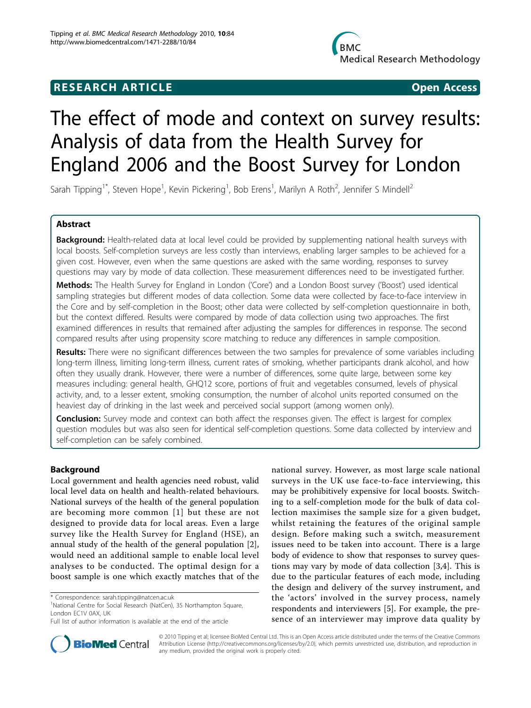# **RESEARCH ARTICLE Example 2018 CONSIDERING ACCESS**

# The effect of mode and context on survey results: Analysis of data from the Health Survey for England 2006 and the Boost Survey for London

Sarah Tipping<sup>1\*</sup>, Steven Hope<sup>1</sup>, Kevin Pickering<sup>1</sup>, Bob Erens<sup>1</sup>, Marilyn A Roth<sup>2</sup>, Jennifer S Mindell<sup>2</sup>

# Abstract

Background: Health-related data at local level could be provided by supplementing national health surveys with local boosts. Self-completion surveys are less costly than interviews, enabling larger samples to be achieved for a given cost. However, even when the same questions are asked with the same wording, responses to survey questions may vary by mode of data collection. These measurement differences need to be investigated further.

Methods: The Health Survey for England in London ('Core') and a London Boost survey ('Boost') used identical sampling strategies but different modes of data collection. Some data were collected by face-to-face interview in the Core and by self-completion in the Boost; other data were collected by self-completion questionnaire in both, but the context differed. Results were compared by mode of data collection using two approaches. The first examined differences in results that remained after adjusting the samples for differences in response. The second compared results after using propensity score matching to reduce any differences in sample composition.

Results: There were no significant differences between the two samples for prevalence of some variables including long-term illness, limiting long-term illness, current rates of smoking, whether participants drank alcohol, and how often they usually drank. However, there were a number of differences, some quite large, between some key measures including: general health, GHQ12 score, portions of fruit and vegetables consumed, levels of physical activity, and, to a lesser extent, smoking consumption, the number of alcohol units reported consumed on the heaviest day of drinking in the last week and perceived social support (among women only).

Conclusion: Survey mode and context can both affect the responses given. The effect is largest for complex question modules but was also seen for identical self-completion questions. Some data collected by interview and self-completion can be safely combined.

# Background

Local government and health agencies need robust, valid local level data on health and health-related behaviours. National surveys of the health of the general population are becoming more common [[1\]](#page-6-0) but these are not designed to provide data for local areas. Even a large survey like the Health Survey for England (HSE), an annual study of the health of the general population [\[2](#page-6-0)], would need an additional sample to enable local level analyses to be conducted. The optimal design for a boost sample is one which exactly matches that of the

national survey. However, as most large scale national surveys in the UK use face-to-face interviewing, this may be prohibitively expensive for local boosts. Switching to a self-completion mode for the bulk of data collection maximises the sample size for a given budget, whilst retaining the features of the original sample design. Before making such a switch, measurement issues need to be taken into account. There is a large body of evidence to show that responses to survey questions may vary by mode of data collection [\[3,4](#page-6-0)]. This is due to the particular features of each mode, including the design and delivery of the survey instrument, and the 'actors' involved in the survey process, namely respondents and interviewers [[5\]](#page-6-0). For example, the presence of an interviewer may improve data quality by



© 2010 Tipping et al; licensee BioMed Central Ltd. This is an Open Access article distributed under the terms of the Creative Commons Attribution License [\(http://creativecommons.org/licenses/by/2.0](http://creativecommons.org/licenses/by/2.0)), which permits unrestricted use, distribution, and reproduction in any medium, provided the original work is properly cited.

<sup>\*</sup> Correspondence: [sarah.tipping@natcen.ac.uk](mailto:sarah.tipping@natcen.ac.uk)

<sup>&</sup>lt;sup>1</sup>National Centre for Social Research (NatCen), 35 Northampton Square, London EC1V 0AX, UK

Full list of author information is available at the end of the article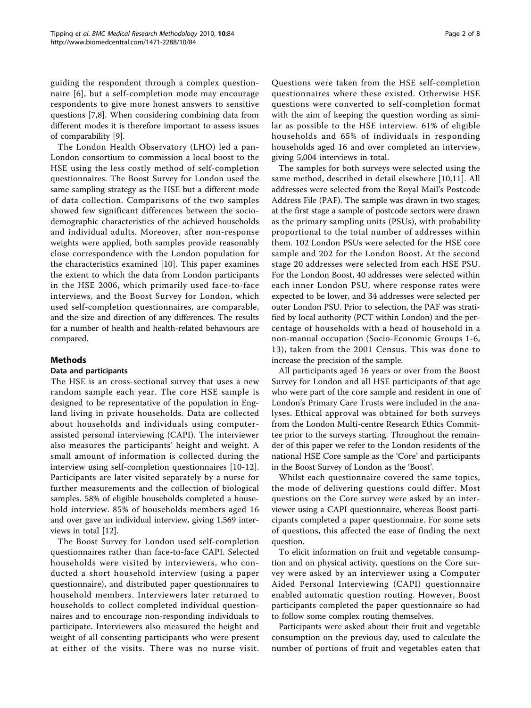guiding the respondent through a complex questionnaire [[6\]](#page-6-0), but a self-completion mode may encourage respondents to give more honest answers to sensitive questions [\[7](#page-6-0),[8](#page-6-0)]. When considering combining data from different modes it is therefore important to assess issues of comparability [[9\]](#page-6-0).

The London Health Observatory (LHO) led a pan-London consortium to commission a local boost to the HSE using the less costly method of self-completion questionnaires. The Boost Survey for London used the same sampling strategy as the HSE but a different mode of data collection. Comparisons of the two samples showed few significant differences between the sociodemographic characteristics of the achieved households and individual adults. Moreover, after non-response weights were applied, both samples provide reasonably close correspondence with the London population for the characteristics examined [[10\]](#page-6-0). This paper examines the extent to which the data from London participants in the HSE 2006, which primarily used face-to-face interviews, and the Boost Survey for London, which used self-completion questionnaires, are comparable, and the size and direction of any differences. The results for a number of health and health-related behaviours are compared.

# Methods

# Data and participants

The HSE is an cross-sectional survey that uses a new random sample each year. The core HSE sample is designed to be representative of the population in England living in private households. Data are collected about households and individuals using computerassisted personal interviewing (CAPI). The interviewer also measures the participants' height and weight. A small amount of information is collected during the interview using self-completion questionnaires [\[10](#page-6-0)-[12](#page-7-0)]. Participants are later visited separately by a nurse for further measurements and the collection of biological samples. 58% of eligible households completed a household interview. 85% of households members aged 16 and over gave an individual interview, giving 1,569 interviews in total [[12\]](#page-7-0).

The Boost Survey for London used self-completion questionnaires rather than face-to-face CAPI. Selected households were visited by interviewers, who conducted a short household interview (using a paper questionnaire), and distributed paper questionnaires to household members. Interviewers later returned to households to collect completed individual questionnaires and to encourage non-responding individuals to participate. Interviewers also measured the height and weight of all consenting participants who were present at either of the visits. There was no nurse visit.

Questions were taken from the HSE self-completion questionnaires where these existed. Otherwise HSE questions were converted to self-completion format with the aim of keeping the question wording as similar as possible to the HSE interview. 61% of eligible households and 65% of individuals in responding households aged 16 and over completed an interview, giving 5,004 interviews in total.

The samples for both surveys were selected using the same method, described in detail elsewhere [[10](#page-6-0)[,11\]](#page-7-0). All addresses were selected from the Royal Mail's Postcode Address File (PAF). The sample was drawn in two stages; at the first stage a sample of postcode sectors were drawn as the primary sampling units (PSUs), with probability proportional to the total number of addresses within them. 102 London PSUs were selected for the HSE core sample and 202 for the London Boost. At the second stage 20 addresses were selected from each HSE PSU. For the London Boost, 40 addresses were selected within each inner London PSU, where response rates were expected to be lower, and 34 addresses were selected per outer London PSU. Prior to selection, the PAF was stratified by local authority (PCT within London) and the percentage of households with a head of household in a non-manual occupation (Socio-Economic Groups 1-6, 13), taken from the 2001 Census. This was done to increase the precision of the sample.

All participants aged 16 years or over from the Boost Survey for London and all HSE participants of that age who were part of the core sample and resident in one of London's Primary Care Trusts were included in the analyses. Ethical approval was obtained for both surveys from the London Multi-centre Research Ethics Committee prior to the surveys starting. Throughout the remainder of this paper we refer to the London residents of the national HSE Core sample as the 'Core' and participants in the Boost Survey of London as the 'Boost'.

Whilst each questionnaire covered the same topics, the mode of delivering questions could differ. Most questions on the Core survey were asked by an interviewer using a CAPI questionnaire, whereas Boost participants completed a paper questionnaire. For some sets of questions, this affected the ease of finding the next question.

To elicit information on fruit and vegetable consumption and on physical activity, questions on the Core survey were asked by an interviewer using a Computer Aided Personal Interviewing (CAPI) questionnaire enabled automatic question routing. However, Boost participants completed the paper questionnaire so had to follow some complex routing themselves.

Participants were asked about their fruit and vegetable consumption on the previous day, used to calculate the number of portions of fruit and vegetables eaten that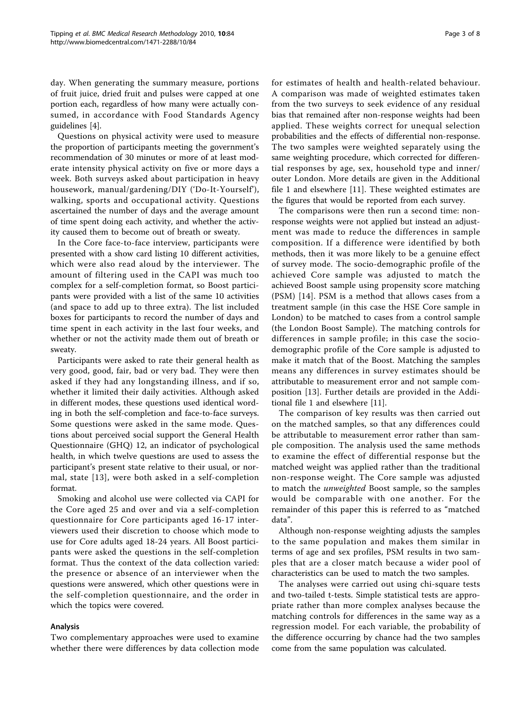day. When generating the summary measure, portions of fruit juice, dried fruit and pulses were capped at one portion each, regardless of how many were actually consumed, in accordance with Food Standards Agency guidelines [[4\]](#page-6-0).

Questions on physical activity were used to measure the proportion of participants meeting the government's recommendation of 30 minutes or more of at least moderate intensity physical activity on five or more days a week. Both surveys asked about participation in heavy housework, manual/gardening/DIY ('Do-It-Yourself'), walking, sports and occupational activity. Questions ascertained the number of days and the average amount of time spent doing each activity, and whether the activity caused them to become out of breath or sweaty.

In the Core face-to-face interview, participants were presented with a show card listing 10 different activities, which were also read aloud by the interviewer. The amount of filtering used in the CAPI was much too complex for a self-completion format, so Boost participants were provided with a list of the same 10 activities (and space to add up to three extra). The list included boxes for participants to record the number of days and time spent in each activity in the last four weeks, and whether or not the activity made them out of breath or sweaty.

Participants were asked to rate their general health as very good, good, fair, bad or very bad. They were then asked if they had any longstanding illness, and if so, whether it limited their daily activities. Although asked in different modes, these questions used identical wording in both the self-completion and face-to-face surveys. Some questions were asked in the same mode. Questions about perceived social support the General Health Questionnaire (GHQ) 12, an indicator of psychological health, in which twelve questions are used to assess the participant's present state relative to their usual, or normal, state [[13\]](#page-7-0), were both asked in a self-completion format.

Smoking and alcohol use were collected via CAPI for the Core aged 25 and over and via a self-completion questionnaire for Core participants aged 16-17 interviewers used their discretion to choose which mode to use for Core adults aged 18-24 years. All Boost participants were asked the questions in the self-completion format. Thus the context of the data collection varied: the presence or absence of an interviewer when the questions were answered, which other questions were in the self-completion questionnaire, and the order in which the topics were covered.

#### Analysis

Two complementary approaches were used to examine whether there were differences by data collection mode for estimates of health and health-related behaviour. A comparison was made of weighted estimates taken from the two surveys to seek evidence of any residual bias that remained after non-response weights had been applied. These weights correct for unequal selection probabilities and the effects of differential non-response. The two samples were weighted separately using the same weighting procedure, which corrected for differential responses by age, sex, household type and inner/ outer London. More details are given in the Additional file [1](#page-6-0) and elsewhere [[11\]](#page-7-0). These weighted estimates are the figures that would be reported from each survey.

The comparisons were then run a second time: nonresponse weights were not applied but instead an adjustment was made to reduce the differences in sample composition. If a difference were identified by both methods, then it was more likely to be a genuine effect of survey mode. The socio-demographic profile of the achieved Core sample was adjusted to match the achieved Boost sample using propensity score matching (PSM) [\[14](#page-7-0)]. PSM is a method that allows cases from a treatment sample (in this case the HSE Core sample in London) to be matched to cases from a control sample (the London Boost Sample). The matching controls for differences in sample profile; in this case the sociodemographic profile of the Core sample is adjusted to make it match that of the Boost. Matching the samples means any differences in survey estimates should be attributable to measurement error and not sample composition [\[13](#page-7-0)]. Further details are provided in the Additional file [1](#page-6-0) and elsewhere [[11\]](#page-7-0).

The comparison of key results was then carried out on the matched samples, so that any differences could be attributable to measurement error rather than sample composition. The analysis used the same methods to examine the effect of differential response but the matched weight was applied rather than the traditional non-response weight. The Core sample was adjusted to match the unweighted Boost sample, so the samples would be comparable with one another. For the remainder of this paper this is referred to as "matched data".

Although non-response weighting adjusts the samples to the same population and makes them similar in terms of age and sex profiles, PSM results in two samples that are a closer match because a wider pool of characteristics can be used to match the two samples.

The analyses were carried out using chi-square tests and two-tailed t-tests. Simple statistical tests are appropriate rather than more complex analyses because the matching controls for differences in the same way as a regression model. For each variable, the probability of the difference occurring by chance had the two samples come from the same population was calculated.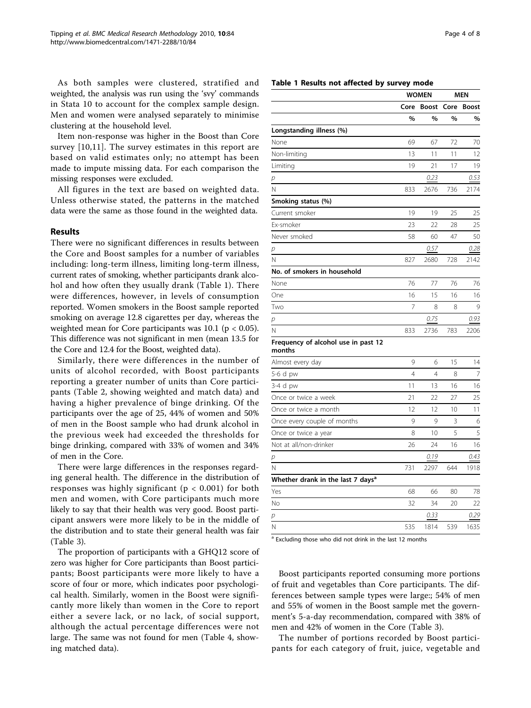As both samples were clustered, stratified and weighted, the analysis was run using the 'svy' commands in Stata 10 to account for the complex sample design. Men and women were analysed separately to minimise clustering at the household level.

Item non-response was higher in the Boost than Core survey [[10](#page-6-0)[,11](#page-7-0)]. The survey estimates in this report are based on valid estimates only; no attempt has been made to impute missing data. For each comparison the missing responses were excluded.

All figures in the text are based on weighted data. Unless otherwise stated, the patterns in the matched data were the same as those found in the weighted data.

#### Results

There were no significant differences in results between the Core and Boost samples for a number of variables including: long-term illness, limiting long-term illness, current rates of smoking, whether participants drank alcohol and how often they usually drank (Table 1). There were differences, however, in levels of consumption reported. Women smokers in the Boost sample reported smoking on average 12.8 cigarettes per day, whereas the weighted mean for Core participants was 10.1 ( $p < 0.05$ ). This difference was not significant in men (mean 13.5 for the Core and 12.4 for the Boost, weighted data).

Similarly, there were differences in the number of units of alcohol recorded, with Boost participants reporting a greater number of units than Core participants (Table [2](#page-4-0), showing weighted and match data) and having a higher prevalence of binge drinking. Of the participants over the age of 25, 44% of women and 50% of men in the Boost sample who had drunk alcohol in the previous week had exceeded the thresholds for binge drinking, compared with 33% of women and 34% of men in the Core.

There were large differences in the responses regarding general health. The difference in the distribution of responses was highly significant ( $p < 0.001$ ) for both men and women, with Core participants much more likely to say that their health was very good. Boost participant answers were more likely to be in the middle of the distribution and to state their general health was fair (Table [3\)](#page-4-0).

The proportion of participants with a GHQ12 score of zero was higher for Core participants than Boost participants; Boost participants were more likely to have a score of four or more, which indicates poor psychological health. Similarly, women in the Boost were significantly more likely than women in the Core to report either a severe lack, or no lack, of social support, although the actual percentage differences were not large. The same was not found for men (Table [4](#page-4-0), showing matched data).

| Table 1 Results not affected by survey mode |                    |  |  |  |  |  |
|---------------------------------------------|--------------------|--|--|--|--|--|
|                                             | <b>WOMEN</b>       |  |  |  |  |  |
|                                             | Core Boost Core Bo |  |  |  |  |  |

|                                               | Core | Boost Core |     | <b>Boost</b> |
|-----------------------------------------------|------|------------|-----|--------------|
|                                               | $\%$ | $\%$       | %   | %            |
| Longstanding illness (%)                      |      |            |     |              |
| None                                          | 69   | 67         | 72  | 70           |
| Non-limiting                                  | 13   | 11         | 11  | 12           |
| Limiting                                      | 19   | 21         | 17  | 19           |
| р                                             |      | 0.23       |     | 0.53         |
| N                                             | 833  | 2676       | 736 | 2174         |
| Smoking status (%)                            |      |            |     |              |
| Current smoker                                | 19   | 19         | 25  | 25           |
| Ex-smoker                                     | 23   | 22         | 28  | 25           |
| Never smoked                                  | 58   | 60         | 47  | 50           |
| р                                             |      | 0.57       |     | 0.28         |
| N                                             | 827  | 2680       | 728 | 2142         |
| No. of smokers in household                   |      |            |     |              |
| None                                          | 76   | 77         | 76  | 76           |
| One                                           | 16   | 15         | 16  | 16           |
| Two                                           | 7    | 8          | 8   | 9            |
| р                                             |      | 0.75       |     | 0.93         |
| N                                             | 833  | 2736       | 783 | 2206         |
| Frequency of alcohol use in past 12<br>months |      |            |     |              |
| Almost every day                              | 9    | 6          | 15  | 14           |
| 5-6 d pw                                      | 4    | 4          | 8   | 7            |
| 3-4 d pw                                      | 11   | 13         | 16  | 16           |
| Once or twice a week                          | 21   | 22         | 27  | 25           |
| Once or twice a month                         | 12   | 12         | 10  | 11           |
| Once every couple of months                   | 9    | 9          | 3   | 6            |
| Once or twice a year                          | 8    | 10         | 5   | 5            |
| Not at all/non-drinker                        | 26   | 24         | 16  | 16           |
| р                                             |      | 0.19       |     | 0.43         |
| N                                             | 731  | 2297       | 644 | 1918         |
| Whether drank in the last 7 days <sup>a</sup> |      |            |     |              |
| Yes                                           | 68   | 66         | 80  | 78           |
| No                                            | 32   | 34         | 20  | 22           |
| р                                             |      | 0.33       |     | 0.29         |
| N                                             | 535  | 1814       | 539 | 1635         |

 $a$  Excluding those who did not drink in the last 12 months

Boost participants reported consuming more portions of fruit and vegetables than Core participants. The differences between sample types were large:; 54% of men and 55% of women in the Boost sample met the government's 5-a-day recommendation, compared with 38% of men and 42% of women in the Core (Table [3\)](#page-4-0).

The number of portions recorded by Boost participants for each category of fruit, juice, vegetable and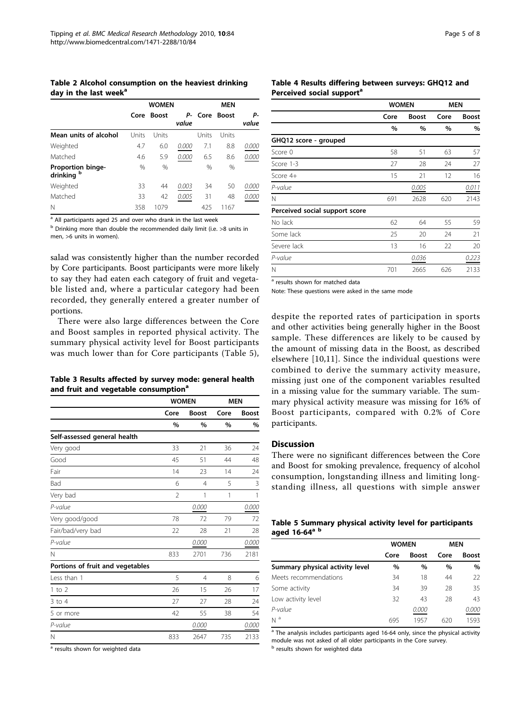<span id="page-4-0"></span>Table 2 Alcohol consumption on the heaviest drinking day in the last week<sup>a</sup>

|                                            |       | <b>WOMEN</b>  |       |         | <b>MEN</b>   |             |
|--------------------------------------------|-------|---------------|-------|---------|--------------|-------------|
|                                            | Core  | <b>Boost</b>  | value | P- Core | <b>Boost</b> | Р-<br>value |
| Mean units of alcohol                      | Units | Units         |       | Units   | Units        |             |
| Weighted                                   | 4.7   | 6.0           | 0.000 | 7.1     | 8.8          | 0.000       |
| Matched                                    | 4.6   | 5.9           | 0.000 | 6.5     | 8.6          | 0.000       |
| Proportion binge-<br>drinking <sup>b</sup> | %     | $\frac{0}{0}$ |       | %       | %            |             |
| Weighted                                   | 33    | 44            | 0.003 | 34      | 50           | 0.000       |
| Matched                                    | 33    | 42            | 0.005 | 31      | 48           | 0.000       |
| N                                          | 358   | 1079          |       | 425     | 1167         |             |

 $\frac{a}{a}$  All participants aged 25 and over who drank in the last week

 $<sup>b</sup>$  Drinking more than double the recommended daily limit (i.e. >8 units in</sup> men, >6 units in women).

salad was consistently higher than the number recorded by Core participants. Boost participants were more likely to say they had eaten each category of fruit and vegetable listed and, where a particular category had been recorded, they generally entered a greater number of portions.

There were also large differences between the Core and Boost samples in reported physical activity. The summary physical activity level for Boost participants was much lower than for Core participants (Table 5),

| Table 3 Results affected by survey mode: general health |  |  |  |
|---------------------------------------------------------|--|--|--|
| and fruit and vegetable consumption <sup>a</sup>        |  |  |  |

|                                  | <b>WOMEN</b>   |                | <b>MEN</b> |              |
|----------------------------------|----------------|----------------|------------|--------------|
|                                  | Core           | <b>Boost</b>   | Core       | <b>Boost</b> |
|                                  | %              | %              | %          | $\%$         |
| Self-assessed general health     |                |                |            |              |
| Very good                        | 33             | 21             | 36         | 24           |
| Good                             | 45             | 51             | 44         | 48           |
| Fair                             | 14             | 23             | 14         | 24           |
| Bad                              | 6              | $\overline{4}$ | 5          | 3            |
| Very bad                         | $\overline{2}$ | 1              | 1          | 1            |
| P-value                          |                | 0.000          |            | 0.000        |
| Very good/good                   | 78             | 72             | 79         | 72           |
| Fair/bad/very bad                | 22             | 28             | 21         | 28           |
| P-value                          |                | 0.000          |            | 0.000        |
| $\mathsf{N}$                     | 833            | 2701           | 736        | 2181         |
| Portions of fruit and vegetables |                |                |            |              |
| Less than 1                      | 5              | $\overline{4}$ | 8          | 6            |
| $1$ to $2$                       | 26             | 15             | 26         | 17           |
| $3$ to 4                         | 27             | 27             | 28         | 24           |
| 5 or more                        | 42             | 55             | 38         | 54           |
| P-value                          |                | 0.000          |            | 0.000        |
| $\mathsf{N}$                     | 833            | 2647           | 735        | 2133         |
|                                  |                |                |            |              |

<sup>a</sup> results shown for weighted data

#### Table 4 Results differing between surveys: GHQ12 and Perceived social support<sup>a</sup>

|                                | <b>WOMEN</b> |              | <b>MEN</b> |              |
|--------------------------------|--------------|--------------|------------|--------------|
|                                | Core         | <b>Boost</b> | Core       | <b>Boost</b> |
|                                | %            | $\%$         | $\%$       | $\%$         |
| GHQ12 score - grouped          |              |              |            |              |
| Score 0                        | 58           | 51           | 63         | 57           |
| Score 1-3                      | 27           | 28           | 24         | 27           |
| Score 4+                       | 15           | 21           | 12         | 16           |
| P-value                        |              | 0.005        |            | 0.011        |
| N                              | 691          | 2628         | 620        | 2143         |
| Perceived social support score |              |              |            |              |
| No lack                        | 62           | 64           | 55         | 59           |
| Some lack                      | 25           | 20           | 24         | 21           |
| Severe lack                    | 13           | 16           | 22         | 20           |
| P-value                        |              | 0.036        |            | 0.223        |
| N                              | 701          | 2665         | 626        | 2133         |

<sup>a</sup> results shown for matched data

Note: These questions were asked in the same mode

despite the reported rates of participation in sports and other activities being generally higher in the Boost sample. These differences are likely to be caused by the amount of missing data in the Boost, as described elsewhere [\[10](#page-6-0),[11](#page-7-0)]. Since the individual questions were combined to derive the summary activity measure, missing just one of the component variables resulted in a missing value for the summary variable. The summary physical activity measure was missing for 16% of Boost participants, compared with 0.2% of Core participants.

# **Discussion**

There were no significant differences between the Core and Boost for smoking prevalence, frequency of alcohol consumption, longstanding illness and limiting longstanding illness, all questions with simple answer

#### Table 5 Summary physical activity level for participants aged 16-64<sup>a b</sup>

|                                 | <b>WOMEN</b> |              | MEN  |              |
|---------------------------------|--------------|--------------|------|--------------|
|                                 | Core         | <b>Boost</b> | Core | <b>Boost</b> |
| Summary physical activity level | $\%$         | $\%$         | $\%$ | $\%$         |
| Meets recommendations           | 34           | 18           | 44   | 22           |
| Some activity                   | 34           | 39           | 28   | 35           |
| Low activity level              | 32           | 43           | 28   | 43           |
| P-value                         |              | 0.000        |      | 0.000        |
| N <sup>a</sup>                  | 695          | 1957         | 620  | 1593         |

<sup>a</sup> The analysis includes participants aged 16-64 only, since the physical activity module was not asked of all older participants in the Core survey. **b** results shown for weighted data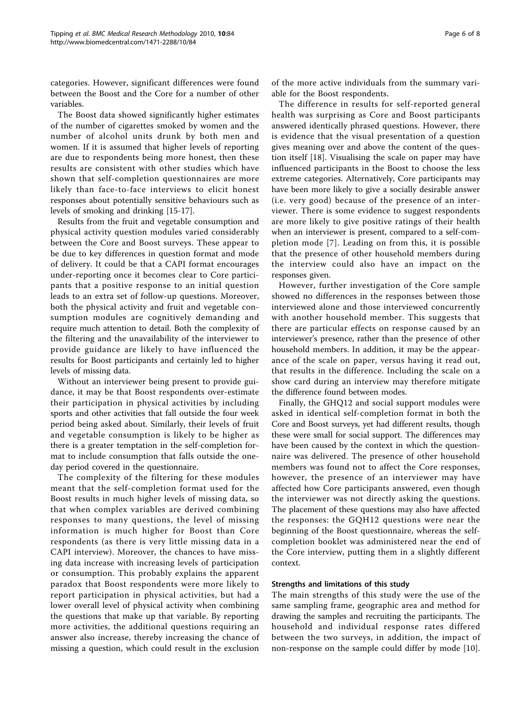categories. However, significant differences were found between the Boost and the Core for a number of other variables.

The Boost data showed significantly higher estimates of the number of cigarettes smoked by women and the number of alcohol units drunk by both men and women. If it is assumed that higher levels of reporting are due to respondents being more honest, then these results are consistent with other studies which have shown that self-completion questionnaires are more likely than face-to-face interviews to elicit honest responses about potentially sensitive behaviours such as levels of smoking and drinking [[15-17\]](#page-7-0).

Results from the fruit and vegetable consumption and physical activity question modules varied considerably between the Core and Boost surveys. These appear to be due to key differences in question format and mode of delivery. It could be that a CAPI format encourages under-reporting once it becomes clear to Core participants that a positive response to an initial question leads to an extra set of follow-up questions. Moreover, both the physical activity and fruit and vegetable consumption modules are cognitively demanding and require much attention to detail. Both the complexity of the filtering and the unavailability of the interviewer to provide guidance are likely to have influenced the results for Boost participants and certainly led to higher levels of missing data.

Without an interviewer being present to provide guidance, it may be that Boost respondents over-estimate their participation in physical activities by including sports and other activities that fall outside the four week period being asked about. Similarly, their levels of fruit and vegetable consumption is likely to be higher as there is a greater temptation in the self-completion format to include consumption that falls outside the oneday period covered in the questionnaire.

The complexity of the filtering for these modules meant that the self-completion format used for the Boost results in much higher levels of missing data, so that when complex variables are derived combining responses to many questions, the level of missing information is much higher for Boost than Core respondents (as there is very little missing data in a CAPI interview). Moreover, the chances to have missing data increase with increasing levels of participation or consumption. This probably explains the apparent paradox that Boost respondents were more likely to report participation in physical activities, but had a lower overall level of physical activity when combining the questions that make up that variable. By reporting more activities, the additional questions requiring an answer also increase, thereby increasing the chance of missing a question, which could result in the exclusion of the more active individuals from the summary variable for the Boost respondents.

The difference in results for self-reported general health was surprising as Core and Boost participants answered identically phrased questions. However, there is evidence that the visual presentation of a question gives meaning over and above the content of the question itself [\[18](#page-7-0)]. Visualising the scale on paper may have influenced participants in the Boost to choose the less extreme categories. Alternatively, Core participants may have been more likely to give a socially desirable answer (i.e. very good) because of the presence of an interviewer. There is some evidence to suggest respondents are more likely to give positive ratings of their health when an interviewer is present, compared to a self-completion mode [[7](#page-6-0)]. Leading on from this, it is possible that the presence of other household members during the interview could also have an impact on the responses given.

However, further investigation of the Core sample showed no differences in the responses between those interviewed alone and those interviewed concurrently with another household member. This suggests that there are particular effects on response caused by an interviewer's presence, rather than the presence of other household members. In addition, it may be the appearance of the scale on paper, versus having it read out, that results in the difference. Including the scale on a show card during an interview may therefore mitigate the difference found between modes.

Finally, the GHQ12 and social support modules were asked in identical self-completion format in both the Core and Boost surveys, yet had different results, though these were small for social support. The differences may have been caused by the context in which the questionnaire was delivered. The presence of other household members was found not to affect the Core responses, however, the presence of an interviewer may have affected how Core participants answered, even though the interviewer was not directly asking the questions. The placement of these questions may also have affected the responses: the GQH12 questions were near the beginning of the Boost questionnaire, whereas the selfcompletion booklet was administered near the end of the Core interview, putting them in a slightly different context.

#### Strengths and limitations of this study

The main strengths of this study were the use of the same sampling frame, geographic area and method for drawing the samples and recruiting the participants. The household and individual response rates differed between the two surveys, in addition, the impact of non-response on the sample could differ by mode [\[10](#page-6-0)].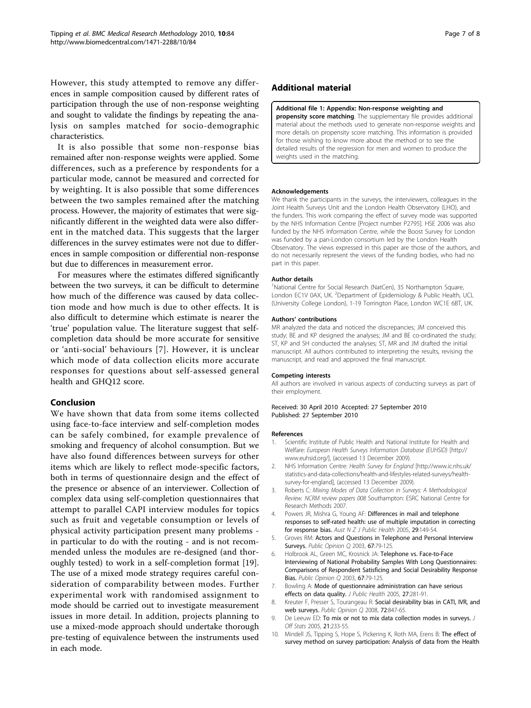<span id="page-6-0"></span>However, this study attempted to remove any differences in sample composition caused by different rates of participation through the use of non-response weighting and sought to validate the findings by repeating the analysis on samples matched for socio-demographic characteristics.

It is also possible that some non-response bias remained after non-response weights were applied. Some differences, such as a preference by respondents for a particular mode, cannot be measured and corrected for by weighting. It is also possible that some differences between the two samples remained after the matching process. However, the majority of estimates that were significantly different in the weighted data were also different in the matched data. This suggests that the larger differences in the survey estimates were not due to differences in sample composition or differential non-response but due to differences in measurement error.

For measures where the estimates differed significantly between the two surveys, it can be difficult to determine how much of the difference was caused by data collection mode and how much is due to other effects. It is also difficult to determine which estimate is nearer the 'true' population value. The literature suggest that selfcompletion data should be more accurate for sensitive or 'anti-social' behaviours [7]. However, it is unclear which mode of data collection elicits more accurate responses for questions about self-assessed general health and GHQ12 score.

#### Conclusion

We have shown that data from some items collected using face-to-face interview and self-completion modes can be safely combined, for example prevalence of smoking and frequency of alcohol consumption. But we have also found differences between surveys for other items which are likely to reflect mode-specific factors, both in terms of questionnaire design and the effect of the presence or absence of an interviewer. Collection of complex data using self-completion questionnaires that attempt to parallel CAPI interview modules for topics such as fruit and vegetable consumption or levels of physical activity participation present many problems in particular to do with the routing - and is not recommended unless the modules are re-designed (and thoroughly tested) to work in a self-completion format [\[19](#page-7-0)]. The use of a mixed mode strategy requires careful consideration of comparability between modes. Further experimental work with randomised assignment to mode should be carried out to investigate measurement issues in more detail. In addition, projects planning to use a mixed-mode approach should undertake thorough pre-testing of equivalence between the instruments used in each mode.

## Additional material

#### [Additional file 1: A](http://www.biomedcentral.com/content/supplementary/1471-2288-10-84-S1.DOC)ppendix: Non-response weighting and

propensity score matching. The supplementary file provides additional material about the methods used to generate non-response weights and more details on propensity score matching. This information is provided for those wishing to know more about the method or to see the detailed results of the regression for men and women to produce the weights used in the matching.

#### Acknowledgements

We thank the participants in the surveys, the interviewers, colleagues in the Joint Health Surveys Unit and the London Health Observatory (LHO), and the funders. This work comparing the effect of survey mode was supported by the NHS Information Centre [Project number P2795]. HSE 2006 was also funded by the NHS Information Centre, while the Boost Survey for London was funded by a pan-London consortium led by the London Health Observatory. The views expressed in this paper are those of the authors, and do not necessarily represent the views of the funding bodies, who had no part in this paper.

#### Author details

<sup>1</sup>National Centre for Social Research (NatCen), 35 Northampton Square London EC1V 0AX, UK. <sup>2</sup>Department of Epidemiology & Public Health, UCL (University College London), 1-19 Torrington Place, London WC1E 6BT, UK.

#### Authors' contributions

MR analyzed the data and noticed the discrepancies; JM conceived this study; BE and KP designed the analyses; JM and BE co-ordinated the study; ST, KP and SH conducted the analyses; ST, MR and JM drafted the initial manuscript. All authors contributed to interpreting the results, revising the manuscript, and read and approved the final manuscript.

#### Competing interests

All authors are involved in various aspects of conducting surveys as part of their employment.

Received: 30 April 2010 Accepted: 27 September 2010 Published: 27 September 2010

#### References

- 1. Scientific Institute of Public Health and National Institute for Health and Welfare: European Health Surveys Information Database (EUHSID) [\[http://](http://www.euhsid.org/) [www.euhsid.org/](http://www.euhsid.org/)], (accessed 13 December 2009).
- 2. NHS Information Centre: Health Survey for England [\[http://www.ic.nhs.uk/](http://www.ic.nhs.uk/statistics-and-data-collections/health-and-lifestyles-related-surveys/health-survey-for-england) [statistics-and-data-collections/health-and-lifestyles-related-surveys/health](http://www.ic.nhs.uk/statistics-and-data-collections/health-and-lifestyles-related-surveys/health-survey-for-england)[survey-for-england\]](http://www.ic.nhs.uk/statistics-and-data-collections/health-and-lifestyles-related-surveys/health-survey-for-england), (accessed 13 December 2009).
- 3. Roberts C: Mixing Modes of Data Collection in Surveys: A Methodological Review. NCRM review papers 008 Southampton: ESRC National Centre for Research Methods 2007.
- Powers JR, Mishra G, Young AF: [Differences in mail and telephone](http://www.ncbi.nlm.nih.gov/pubmed/15915619?dopt=Abstract) [responses to self-rated health: use of multiple imputation in correcting](http://www.ncbi.nlm.nih.gov/pubmed/15915619?dopt=Abstract) [for response bias.](http://www.ncbi.nlm.nih.gov/pubmed/15915619?dopt=Abstract) Aust N Z J Public Health 2005, 29:149-54.
- 5. Groves RM: Actors and Questions in Telephone and Personal Interview Surveys. Public Opinion Q 2003, 67:79-125.
- 6. Holbrook AL, Green MC, Krosnick JA: Telephone vs. Face-to-Face Interviewing of National Probability Samples With Long Questionnaires: Comparisons of Respondent Satisficing and Social Desirability Response Bias. Public Opinion Q 2003, 67:79-125.
- 7. Bowling A: Mode of questionnaire administration can have serious effects on data quality. J Public Health 2005, 27:281-91.
- 8. Kreuter F, Presser S, Tourangeau R: Social desirability bias in CATI, IVR, and web surveys. Public Opinion Q 2008, 72:847-65.
- De Leeuw ED: To mix or not to mix data collection modes in surveys. J Off Stats 2005, 21:233-55.
- 10. Mindell JS, Tipping S, Hope S, Pickering K, Roth MA, Erens B: The effect of survey method on survey participation: Analysis of data from the Health